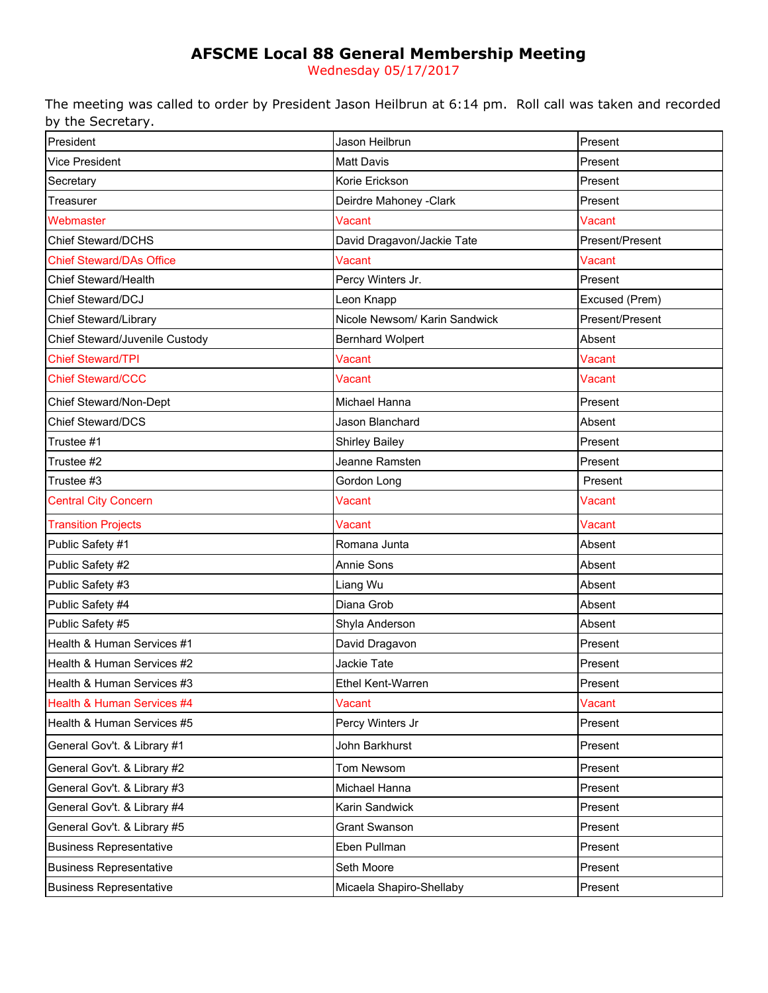# **AFSCME Local 88 General Membership Meeting**

Wednesday 05/17/2017

The meeting was called to order by President Jason Heilbrun at 6:14 pm. Roll call was taken and recorded by the Secretary.

| President                       | Jason Heilbrun                | Present         |
|---------------------------------|-------------------------------|-----------------|
| Vice President                  | <b>Matt Davis</b>             | Present         |
| Secretary                       | Korie Erickson                | Present         |
| Treasurer                       | Deirdre Mahoney - Clark       | Present         |
| Webmaster                       | Vacant                        | Vacant          |
| <b>Chief Steward/DCHS</b>       | David Dragavon/Jackie Tate    | Present/Present |
| <b>Chief Steward/DAs Office</b> | Vacant                        | Vacant          |
| Chief Steward/Health            | Percy Winters Jr.             | Present         |
| <b>Chief Steward/DCJ</b>        | Leon Knapp                    | Excused (Prem)  |
| Chief Steward/Library           | Nicole Newsom/ Karin Sandwick | Present/Present |
| Chief Steward/Juvenile Custody  | <b>Bernhard Wolpert</b>       | Absent          |
| <b>Chief Steward/TPI</b>        | Vacant                        | Vacant          |
| <b>Chief Steward/CCC</b>        | Vacant                        | Vacant          |
| Chief Steward/Non-Dept          | Michael Hanna                 | Present         |
| Chief Steward/DCS               | Jason Blanchard               | Absent          |
| Trustee #1                      | <b>Shirley Bailey</b>         | Present         |
| Trustee #2                      | Jeanne Ramsten                | Present         |
| Trustee #3                      | Gordon Long                   | Present         |
| <b>Central City Concern</b>     | Vacant                        | Vacant          |
| <b>Transition Projects</b>      | Vacant                        | Vacant          |
| Public Safety #1                | Romana Junta                  | Absent          |
| Public Safety #2                | Annie Sons                    | Absent          |
| Public Safety #3                | Liang Wu                      | Absent          |
| Public Safety #4                | Diana Grob                    | Absent          |
| Public Safety #5                | Shyla Anderson                | Absent          |
| Health & Human Services #1      | David Dragavon                | Present         |
| Health & Human Services #2      | Jackie Tate                   | Present         |
| Health & Human Services #3      | <b>Ethel Kent-Warren</b>      | Present         |
| Health & Human Services #4      | Vacant                        | Vacant          |
| Health & Human Services #5      | Percy Winters Jr              | Present         |
| General Gov't. & Library #1     | John Barkhurst                | Present         |
| General Gov't. & Library #2     | Tom Newsom                    | Present         |
| General Gov't. & Library #3     | Michael Hanna                 | Present         |
| General Gov't. & Library #4     | Karin Sandwick                | Present         |
| General Gov't. & Library #5     | <b>Grant Swanson</b>          | Present         |
| <b>Business Representative</b>  | Eben Pullman                  | Present         |
| <b>Business Representative</b>  | Seth Moore                    | Present         |
| <b>Business Representative</b>  | Micaela Shapiro-Shellaby      | Present         |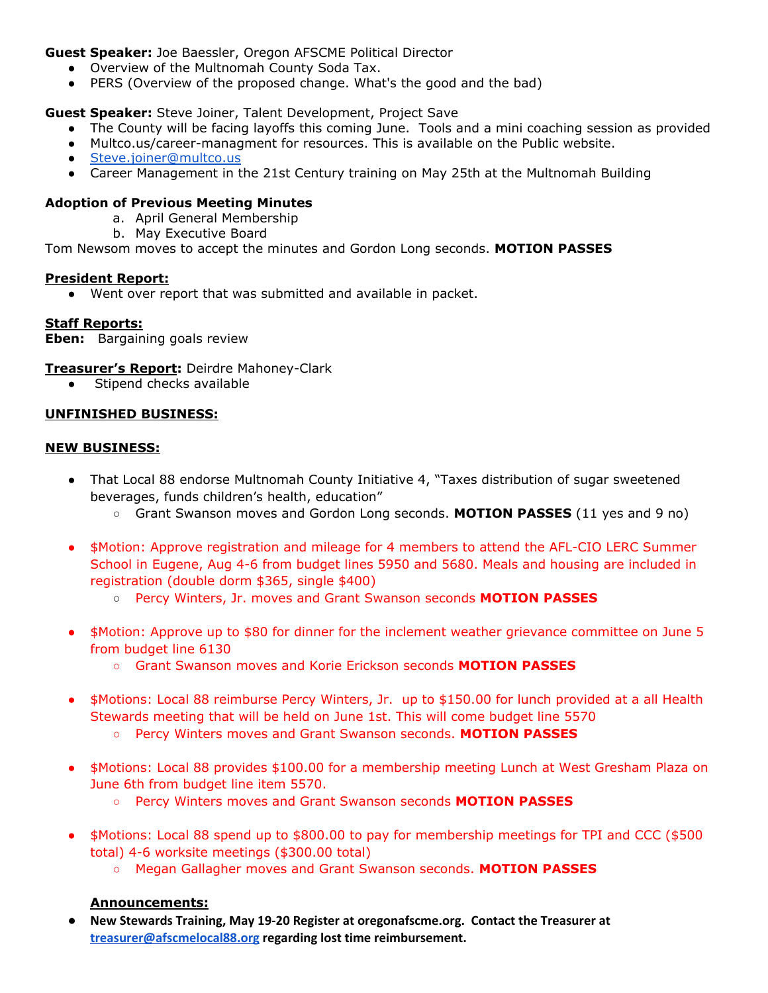## **Guest Speaker:** Joe Baessler, Oregon AFSCME Political Director

- Overview of the Multnomah County Soda Tax.
- PERS (Overview of the proposed change. What's the good and the bad)

## **Guest Speaker:** Steve Joiner, Talent Development, Project Save

- The County will be facing layoffs this coming June. Tools and a mini coaching session as provided
- Multco.us/career-managment for resources. This is available on the Public website.
- [Steve.joiner@multco.us](mailto:Steve.joiner@multco.us)
- Career Management in the 21st Century training on May 25th at the Multnomah Building

## **Adoption of Previous Meeting Minutes**

- a. April General Membership
- b. May Executive Board

Tom Newsom moves to accept the minutes and Gordon Long seconds. **MOTION PASSES**

#### **President Report:**

● Went over report that was submitted and available in packet.

## **Staff Reports:**

**Eben:** Bargaining goals review

**Treasurer's Report:** Deirdre Mahoney-Clark

• Stipend checks available

## **UNFINISHED BUSINESS:**

#### **NEW BUSINESS:**

- That Local 88 endorse Multnomah County Initiative 4, "Taxes distribution of sugar sweetened beverages, funds children's health, education"
	- Grant Swanson moves and Gordon Long seconds. **MOTION PASSES** (11 yes and 9 no)
- **●** \$Motion: Approve registration and mileage for 4 members to attend the AFL-CIO LERC Summer School in Eugene, Aug 4-6 from budget lines 5950 and 5680. Meals and housing are included in registration (double dorm \$365, single \$400)
	- **○** Percy Winters, Jr. moves and Grant Swanson seconds **MOTION PASSES**
- \$Motion: Approve up to \$80 for dinner for the inclement weather grievance committee on June 5 from budget line 6130
	- Grant Swanson moves and Korie Erickson seconds **MOTION PASSES**
- \$Motions: Local 88 reimburse Percy Winters, Jr. up to \$150.00 for lunch provided at a all Health Stewards meeting that will be held on June 1st. This will come budget line 5570
	- Percy Winters moves and Grant Swanson seconds. **MOTION PASSES**
- \$Motions: Local 88 provides \$100.00 for a membership meeting Lunch at West Gresham Plaza on June 6th from budget line item 5570.
	- Percy Winters moves and Grant Swanson seconds **MOTION PASSES**
- \$Motions: Local 88 spend up to \$800.00 to pay for membership meetings for TPI and CCC (\$500 total) 4-6 worksite meetings (\$300.00 total)
	- Megan Gallagher moves and Grant Swanson seconds. **MOTION PASSES**

#### **Announcements:**

● **New Stewards Training, May 19-20 Register at oregonafscme.org. Contact the Treasurer at [treasurer@afscmelocal88.org](mailto:treasurer@afscmelocal88.org) regarding lost time reimbursement.**